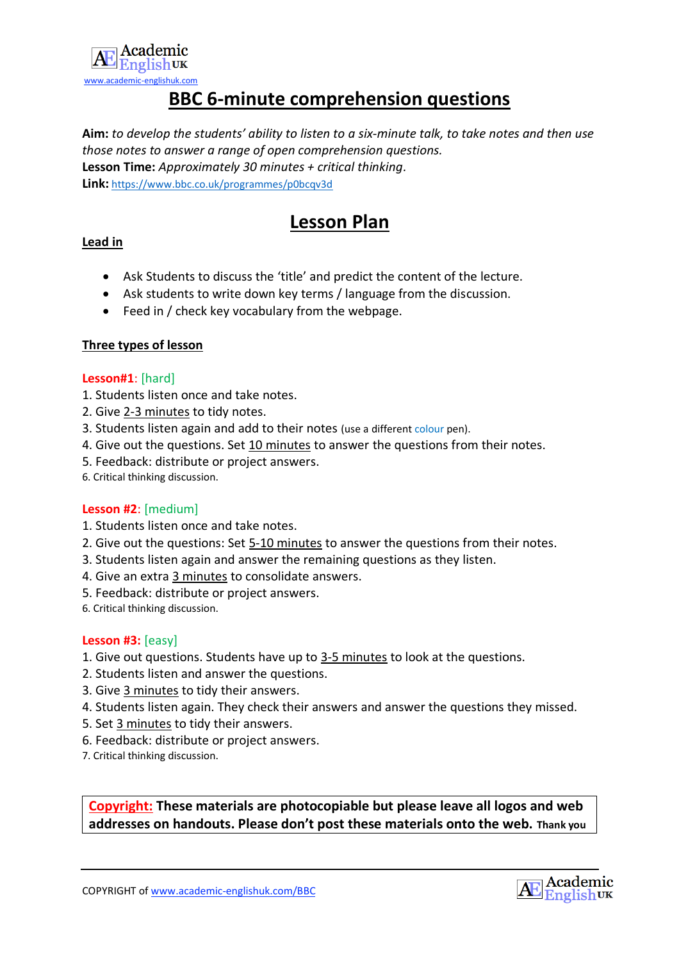

### **BBC 6-minute comprehension questions**

**Aim:** *to develop the students' ability to listen to a six-minute talk, to take notes and then use those notes to answer a range of open comprehension questions.* **Lesson Time:** *Approximately 30 minutes + critical thinking.* **Link:** <https://www.bbc.co.uk/programmes/p0bcqv3d>

## **Lesson Plan**

#### **Lead in**

- Ask Students to discuss the 'title' and predict the content of the lecture.
- Ask students to write down key terms / language from the discussion.
- Feed in / check key vocabulary from the webpage.

#### **Three types of lesson**

#### **Lesson#1**: [hard]

- 1. Students listen once and take notes.
- 2. Give 2-3 minutes to tidy notes.
- 3. Students listen again and add to their notes (use a different colour pen).
- 4. Give out the questions. Set 10 minutes to answer the questions from their notes.
- 5. Feedback: distribute or project answers.
- 6. Critical thinking discussion.

#### **Lesson #2**: [medium]

- 1. Students listen once and take notes.
- 2. Give out the questions: Set 5-10 minutes to answer the questions from their notes.
- 3. Students listen again and answer the remaining questions as they listen.
- 4. Give an extra 3 minutes to consolidate answers.
- 5. Feedback: distribute or project answers.
- 6. Critical thinking discussion.

#### **Lesson #3:** [easy]

- 1. Give out questions. Students have up to 3-5 minutes to look at the questions.
- 2. Students listen and answer the questions.
- 3. Give 3 minutes to tidy their answers.
- 4. Students listen again. They check their answers and answer the questions they missed.
- 5. Set 3 minutes to tidy their answers.
- 6. Feedback: distribute or project answers.
- 7. Critical thinking discussion.

**Copyright: These materials are photocopiable but please leave all logos and web addresses on handouts. Please don't post these materials onto the web. Thank you**

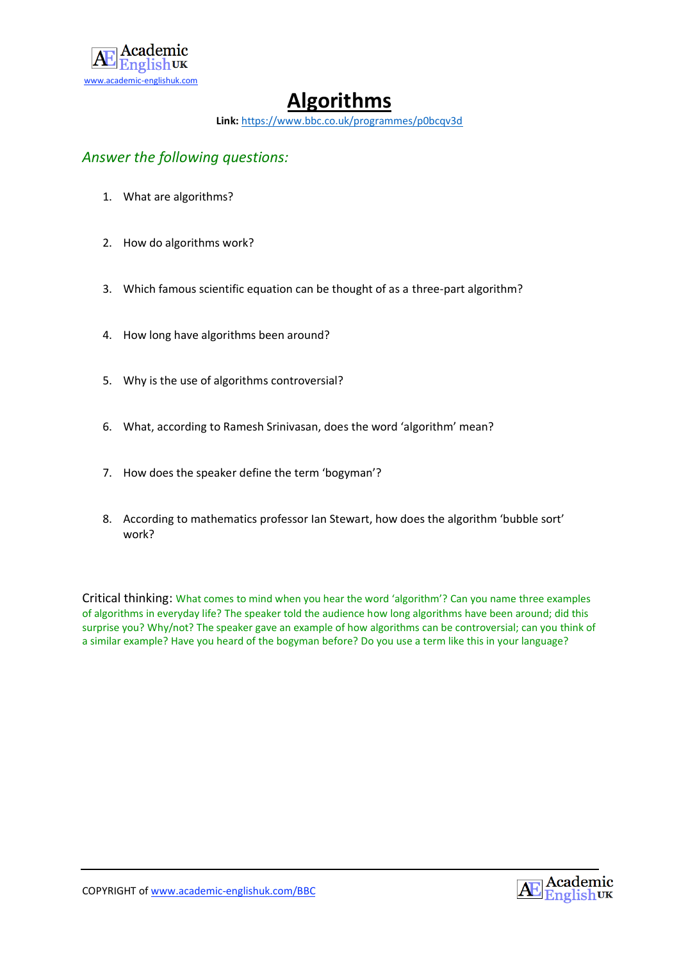

## **Algorithms**

**Link:** <https://www.bbc.co.uk/programmes/p0bcqv3d>

### *Answer the following questions:*

- 1. What are algorithms?
- 2. How do algorithms work?
- 3. Which famous scientific equation can be thought of as a three-part algorithm?
- 4. How long have algorithms been around?
- 5. Why is the use of algorithms controversial?
- 6. What, according to Ramesh Srinivasan, does the word 'algorithm' mean?
- 7. How does the speaker define the term 'bogyman'?
- 8. According to mathematics professor Ian Stewart, how does the algorithm 'bubble sort' work?

Critical thinking: What comes to mind when you hear the word 'algorithm'? Can you name three examples of algorithms in everyday life? The speaker told the audience how long algorithms have been around; did this surprise you? Why/not? The speaker gave an example of how algorithms can be controversial; can you think of a similar example? Have you heard of the bogyman before? Do you use a term like this in your language?